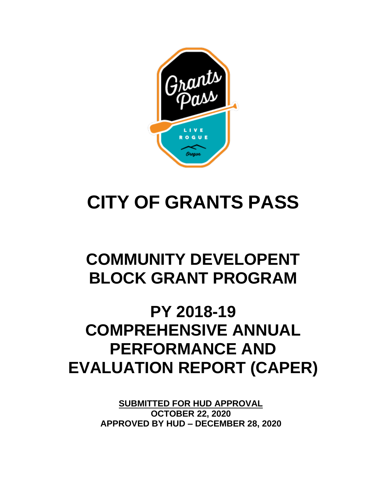

# **CITY OF GRANTS PASS**

# **COMMUNITY DEVELOPENT BLOCK GRANT PROGRAM**

# **PY 2018-19 COMPREHENSIVE ANNUAL PERFORMANCE AND EVALUATION REPORT (CAPER)**

**SUBMITTED FOR HUD APPROVAL OCTOBER 22, 2020 APPROVED BY HUD – DECEMBER 28, 2020**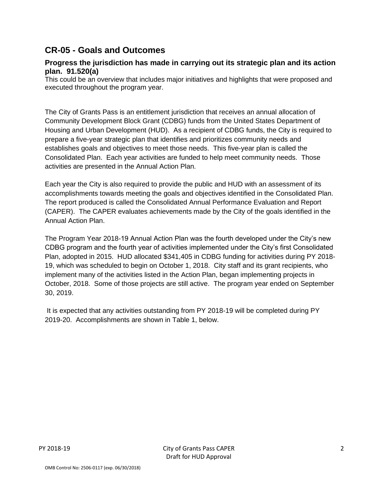# **CR-05 - Goals and Outcomes**

#### **Progress the jurisdiction has made in carrying out its strategic plan and its action plan. 91.520(a)**

This could be an overview that includes major initiatives and highlights that were proposed and executed throughout the program year.

The City of Grants Pass is an entitlement jurisdiction that receives an annual allocation of Community Development Block Grant (CDBG) funds from the United States Department of Housing and Urban Development (HUD). As a recipient of CDBG funds, the City is required to prepare a five-year strategic plan that identifies and prioritizes community needs and establishes goals and objectives to meet those needs. This five-year plan is called the Consolidated Plan. Each year activities are funded to help meet community needs. Those activities are presented in the Annual Action Plan.

Each year the City is also required to provide the public and HUD with an assessment of its accomplishments towards meeting the goals and objectives identified in the Consolidated Plan. The report produced is called the Consolidated Annual Performance Evaluation and Report (CAPER). The CAPER evaluates achievements made by the City of the goals identified in the Annual Action Plan.

The Program Year 2018-19 Annual Action Plan was the fourth developed under the City's new CDBG program and the fourth year of activities implemented under the City's first Consolidated Plan, adopted in 2015. HUD allocated \$341,405 in CDBG funding for activities during PY 2018- 19, which was scheduled to begin on October 1, 2018. City staff and its grant recipients, who implement many of the activities listed in the Action Plan, began implementing projects in October, 2018. Some of those projects are still active. The program year ended on September 30, 2019.

It is expected that any activities outstanding from PY 2018-19 will be completed during PY 2019-20. Accomplishments are shown in Table 1, below.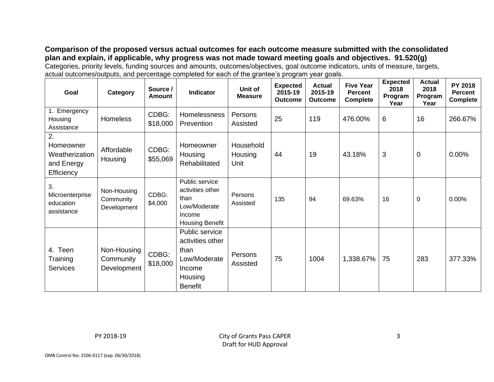**Comparison of the proposed versus actual outcomes for each outcome measure submitted with the consolidated plan and explain, if applicable, why progress was not made toward meeting goals and objectives. 91.520(g)** Categories, priority levels, funding sources and amounts, outcomes/objectives, goal outcome indicators, units of measure, targets, actual outcomes/outputs, and percentage completed for each of the grantee's program year goals.

| Goal                                                          | Category                                | Source /<br>Amount | <b>Indicator</b>                                                                                  | Unit of<br><b>Measure</b>    | <b>Expected</b><br>2015-19<br><b>Outcome</b> | <b>Actual</b><br>2015-19<br><b>Outcome</b> | <b>Five Year</b><br><b>Percent</b><br><b>Complete</b> | <b>Expected</b><br>2018<br>Program<br>Year | <b>Actual</b><br>2018<br>Program<br>Year | <b>PY 2018</b><br><b>Percent</b><br><b>Complete</b> |
|---------------------------------------------------------------|-----------------------------------------|--------------------|---------------------------------------------------------------------------------------------------|------------------------------|----------------------------------------------|--------------------------------------------|-------------------------------------------------------|--------------------------------------------|------------------------------------------|-----------------------------------------------------|
| 1. Emergency<br>Housing<br>Assistance                         | <b>Homeless</b>                         | CDBG:<br>\$18,000  | Homelessness<br>Prevention                                                                        | Persons<br>Assisted          | 25                                           | 119                                        | 476.00%                                               | 6                                          | 16                                       | 266.67%                                             |
| 2.<br>Homeowner<br>Weatherization<br>and Energy<br>Efficiency | Affordable<br>Housing                   | CDBG:<br>\$55,069  | Homeowner<br>Housing<br>Rehabilitated                                                             | Household<br>Housing<br>Unit | 44                                           | 19                                         | 43.18%                                                | 3                                          | 0                                        | 0.00%                                               |
| 3.<br>Microenterprise<br>education<br>assistance              | Non-Housing<br>Community<br>Development | CDBG:<br>\$4,000   | Public service<br>activities other<br>than<br>Low/Moderate<br>Income<br><b>Housing Benefit</b>    | Persons<br>Assisted          | 135                                          | 94                                         | 69.63%                                                | 16                                         | 0                                        | 0.00%                                               |
| 4. Teen<br>Training<br><b>Services</b>                        | Non-Housing<br>Community<br>Development | CDBG:<br>\$18,000  | Public service<br>activities other<br>than<br>Low/Moderate<br>Income<br>Housing<br><b>Benefit</b> | Persons<br>Assisted          | 75                                           | 1004                                       | 1,338.67%                                             | 75                                         | 283                                      | 377.33%                                             |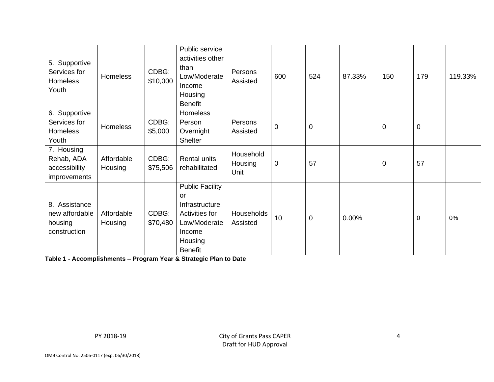| 5. Supportive<br>Services for<br>Homeless<br>Youth         | <b>Homeless</b>       | CDBG:<br>\$10,000 | Public service<br>activities other<br>than<br>Low/Moderate<br>Income<br>Housing<br><b>Benefit</b>                              | Persons<br>Assisted          | 600         | 524       | 87.33% | 150         | 179 | 119.33% |
|------------------------------------------------------------|-----------------------|-------------------|--------------------------------------------------------------------------------------------------------------------------------|------------------------------|-------------|-----------|--------|-------------|-----|---------|
| 6. Supportive<br>Services for<br>Homeless<br>Youth         | Homeless              | CDBG:<br>\$5,000  | <b>Homeless</b><br>Person<br>Overnight<br><b>Shelter</b>                                                                       | Persons<br>Assisted          | $\mathbf 0$ | $\pmb{0}$ |        | $\mathbf 0$ | 0   |         |
| 7. Housing<br>Rehab, ADA<br>accessibility<br>improvements  | Affordable<br>Housing | CDBG:<br>\$75,506 | <b>Rental units</b><br>rehabilitated                                                                                           | Household<br>Housing<br>Unit | $\mathbf 0$ | 57        |        | $\mathbf 0$ | 57  |         |
| 8. Assistance<br>new affordable<br>housing<br>construction | Affordable<br>Housing | CDBG:<br>\$70,480 | <b>Public Facility</b><br><b>or</b><br>Infrastructure<br>Activities for<br>Low/Moderate<br>Income<br>Housing<br><b>Benefit</b> | Households<br>Assisted       | 10          | 0         | 0.00%  |             | 0   | 0%      |

**Table 1 - Accomplishments – Program Year & Strategic Plan to Date**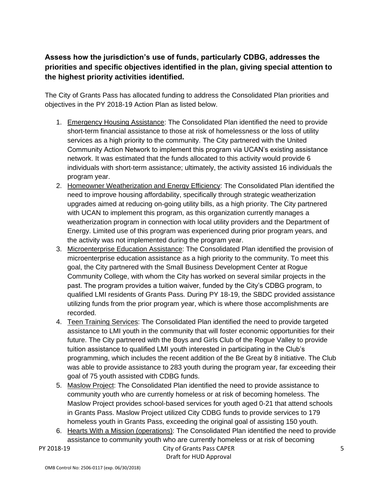# **Assess how the jurisdiction's use of funds, particularly CDBG, addresses the priorities and specific objectives identified in the plan, giving special attention to the highest priority activities identified.**

The City of Grants Pass has allocated funding to address the Consolidated Plan priorities and objectives in the PY 2018-19 Action Plan as listed below.

- 1. Emergency Housing Assistance: The Consolidated Plan identified the need to provide short-term financial assistance to those at risk of homelessness or the loss of utility services as a high priority to the community. The City partnered with the United Community Action Network to implement this program via UCAN's existing assistance network. It was estimated that the funds allocated to this activity would provide 6 individuals with short-term assistance; ultimately, the activity assisted 16 individuals the program year.
- 2. Homeowner Weatherization and Energy Efficiency: The Consolidated Plan identified the need to improve housing affordability, specifically through strategic weatherization upgrades aimed at reducing on-going utility bills, as a high priority. The City partnered with UCAN to implement this program, as this organization currently manages a weatherization program in connection with local utility providers and the Department of Energy. Limited use of this program was experienced during prior program years, and the activity was not implemented during the program year.
- 3. Microenterprise Education Assistance: The Consolidated Plan identified the provision of microenterprise education assistance as a high priority to the community. To meet this goal, the City partnered with the Small Business Development Center at Rogue Community College, with whom the City has worked on several similar projects in the past. The program provides a tuition waiver, funded by the City's CDBG program, to qualified LMI residents of Grants Pass. During PY 18-19, the SBDC provided assistance utilizing funds from the prior program year, which is where those accomplishments are recorded.
- 4. Teen Training Services: The Consolidated Plan identified the need to provide targeted assistance to LMI youth in the community that will foster economic opportunities for their future. The City partnered with the Boys and Girls Club of the Rogue Valley to provide tuition assistance to qualified LMI youth interested in participating in the Club's programming, which includes the recent addition of the Be Great by 8 initiative. The Club was able to provide assistance to 283 youth during the program year, far exceeding their goal of 75 youth assisted with CDBG funds.
- 5. Maslow Project: The Consolidated Plan identified the need to provide assistance to community youth who are currently homeless or at risk of becoming homeless. The Maslow Project provides school-based services for youth aged 0-21 that attend schools in Grants Pass. Maslow Project utilized City CDBG funds to provide services to 179 homeless youth in Grants Pass, exceeding the original goal of assisting 150 youth.
- 6. Hearts With a Mission (operations): The Consolidated Plan identified the need to provide assistance to community youth who are currently homeless or at risk of becoming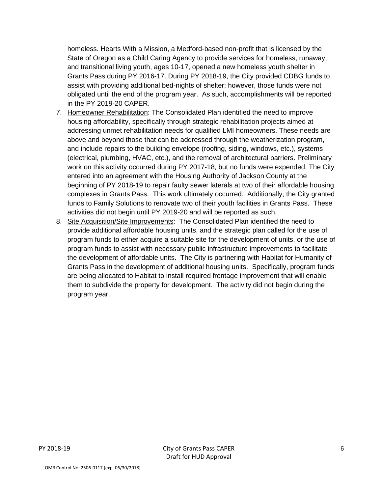homeless. Hearts With a Mission, a Medford-based non-profit that is licensed by the State of Oregon as a Child Caring Agency to provide services for homeless, runaway, and transitional living youth, ages 10-17, opened a new homeless youth shelter in Grants Pass during PY 2016-17. During PY 2018-19, the City provided CDBG funds to assist with providing additional bed-nights of shelter; however, those funds were not obligated until the end of the program year. As such, accomplishments will be reported in the PY 2019-20 CAPER.

- 7. Homeowner Rehabilitation: The Consolidated Plan identified the need to improve housing affordability, specifically through strategic rehabilitation projects aimed at addressing unmet rehabilitation needs for qualified LMI homeowners. These needs are above and beyond those that can be addressed through the weatherization program, and include repairs to the building envelope (roofing, siding, windows, etc.), systems (electrical, plumbing, HVAC, etc.), and the removal of architectural barriers. Preliminary work on this activity occurred during PY 2017-18, but no funds were expended. The City entered into an agreement with the Housing Authority of Jackson County at the beginning of PY 2018-19 to repair faulty sewer laterals at two of their affordable housing complexes in Grants Pass. This work ultimately occurred. Additionally, the City granted funds to Family Solutions to renovate two of their youth facilities in Grants Pass. These activities did not begin until PY 2019-20 and will be reported as such.
- 8. Site Acquisition/Site Improvements: The Consolidated Plan identified the need to provide additional affordable housing units, and the strategic plan called for the use of program funds to either acquire a suitable site for the development of units, or the use of program funds to assist with necessary public infrastructure improvements to facilitate the development of affordable units. The City is partnering with Habitat for Humanity of Grants Pass in the development of additional housing units. Specifically, program funds are being allocated to Habitat to install required frontage improvement that will enable them to subdivide the property for development. The activity did not begin during the program year.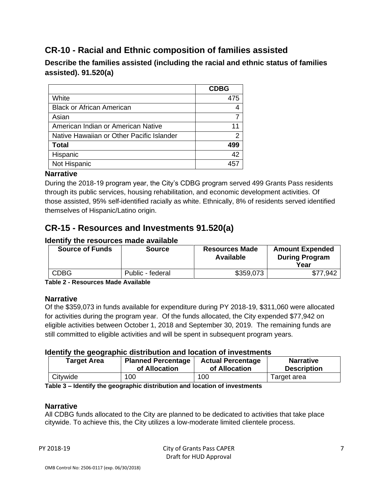# **CR-10 - Racial and Ethnic composition of families assisted**

**Describe the families assisted (including the racial and ethnic status of families assisted). 91.520(a)** 

|                                           | <b>CDBG</b> |
|-------------------------------------------|-------------|
| White                                     | 475         |
| <b>Black or African American</b>          |             |
| Asian                                     |             |
| American Indian or American Native        |             |
| Native Hawaiian or Other Pacific Islander |             |
| <b>Total</b>                              | 499         |
| Hispanic                                  | 42          |
| Not Hispanic                              | 457         |
|                                           |             |

#### **Narrative**

During the 2018-19 program year, the City's CDBG program served 499 Grants Pass residents through its public services, housing rehabilitation, and economic development activities. Of those assisted, 95% self-identified racially as white. Ethnically, 8% of residents served identified themselves of Hispanic/Latino origin.

# **CR-15 - Resources and Investments 91.520(a)**

#### **Identify the resources made available**

| <b>Source of Funds</b> | <b>Source</b>    | <b>Resources Made</b><br>Available | <b>Amount Expended</b><br><b>During Program</b><br>Year |
|------------------------|------------------|------------------------------------|---------------------------------------------------------|
| <b>CDBG</b>            | Public - federal | \$359,073                          | 7.942<br>-\$7                                           |

**Table 2 - Resources Made Available**

#### **Narrative**

Of the \$359,073 in funds available for expenditure during PY 2018-19, \$311,060 were allocated for activities during the program year. Of the funds allocated, the City expended \$77,942 on eligible activities between October 1, 2018 and September 30, 2019. The remaining funds are still committed to eligible activities and will be spent in subsequent program years.

#### **Identify the geographic distribution and location of investments**

| <b>Planned Percentage</b><br><b>Target Area</b><br>of Allocation |     | <b>Actual Percentage</b><br>of Allocation | <b>Narrative</b><br><b>Description</b> |  |
|------------------------------------------------------------------|-----|-------------------------------------------|----------------------------------------|--|
| Citywide                                                         | 100 | 10 <sub>C</sub>                           | Target area                            |  |

**Table 3 – Identify the geographic distribution and location of investments**

#### **Narrative**

All CDBG funds allocated to the City are planned to be dedicated to activities that take place citywide. To achieve this, the City utilizes a low-moderate limited clientele process.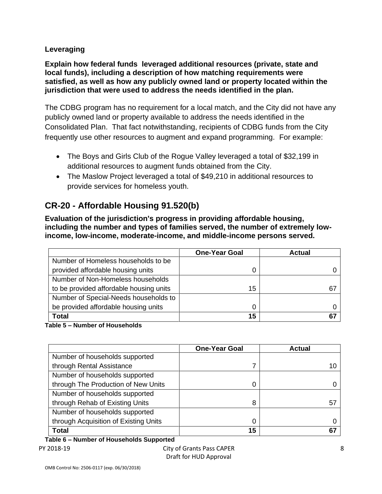### **Leveraging**

**Explain how federal funds leveraged additional resources (private, state and local funds), including a description of how matching requirements were satisfied, as well as how any publicly owned land or property located within the jurisdiction that were used to address the needs identified in the plan.**

The CDBG program has no requirement for a local match, and the City did not have any publicly owned land or property available to address the needs identified in the Consolidated Plan. That fact notwithstanding, recipients of CDBG funds from the City frequently use other resources to augment and expand programming. For example:

- The Boys and Girls Club of the Rogue Valley leveraged a total of \$32,199 in additional resources to augment funds obtained from the City.
- The Maslow Project leveraged a total of \$49,210 in additional resources to provide services for homeless youth.

# **CR-20 - Affordable Housing 91.520(b)**

**Evaluation of the jurisdiction's progress in providing affordable housing, including the number and types of families served, the number of extremely lowincome, low-income, moderate-income, and middle-income persons served.**

|                                         | <b>One-Year Goal</b> | <b>Actual</b> |
|-----------------------------------------|----------------------|---------------|
| Number of Homeless households to be     |                      |               |
| provided affordable housing units       | O                    |               |
| Number of Non-Homeless households       |                      |               |
| to be provided affordable housing units | 15                   | 67            |
| Number of Special-Needs households to   |                      |               |
| be provided affordable housing units    | 0                    |               |
| <b>Total</b>                            | 15                   |               |

**Table 5 – Number of Households**

|                                       | <b>One-Year Goal</b> | <b>Actual</b> |
|---------------------------------------|----------------------|---------------|
| Number of households supported        |                      |               |
| through Rental Assistance             |                      | 10            |
| Number of households supported        |                      |               |
| through The Production of New Units   | 0                    |               |
| Number of households supported        |                      |               |
| through Rehab of Existing Units       | 8                    | 57            |
| Number of households supported        |                      |               |
| through Acquisition of Existing Units | 0                    |               |
| <b>Total</b>                          | 15                   | 67            |

PY 2018-19 City of Grants Pass CAPER **Table 6 – Number of Households Supported**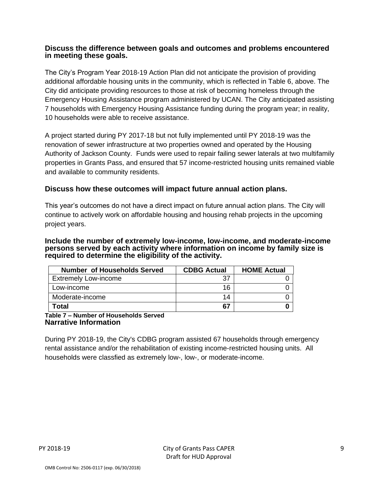#### **Discuss the difference between goals and outcomes and problems encountered in meeting these goals.**

The City's Program Year 2018-19 Action Plan did not anticipate the provision of providing additional affordable housing units in the community, which is reflected in Table 6, above. The City did anticipate providing resources to those at risk of becoming homeless through the Emergency Housing Assistance program administered by UCAN. The City anticipated assisting 7 households with Emergency Housing Assistance funding during the program year; in reality, 10 households were able to receive assistance.

A project started during PY 2017-18 but not fully implemented until PY 2018-19 was the renovation of sewer infrastructure at two properties owned and operated by the Housing Authority of Jackson County. Funds were used to repair failing sewer laterals at two multifamily properties in Grants Pass, and ensured that 57 income-restricted housing units remained viable and available to community residents.

### **Discuss how these outcomes will impact future annual action plans.**

This year's outcomes do not have a direct impact on future annual action plans. The City will continue to actively work on affordable housing and housing rehab projects in the upcoming project years.

#### **Include the number of extremely low-income, low-income, and moderate-income persons served by each activity where information on income by family size is required to determine the eligibility of the activity.**

| <b>Number of Households Served</b> | <b>CDBG Actual</b> | <b>HOME Actual</b> |
|------------------------------------|--------------------|--------------------|
| <b>Extremely Low-income</b>        | 37                 |                    |
| Low-income                         | 16                 |                    |
| Moderate-income                    | 14                 |                    |
| <b>Total</b>                       | 67                 |                    |

**Table 7 – Number of Households Served Narrative Information**

During PY 2018-19, the City's CDBG program assisted 67 households through emergency rental assistance and/or the rehabilitation of existing income-restricted housing units. All households were classfied as extremely low-, low-, or moderate-income.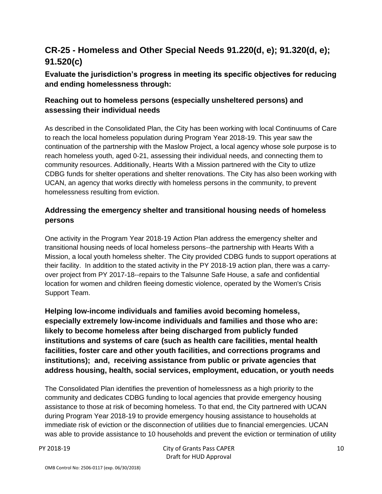# **CR-25 - Homeless and Other Special Needs 91.220(d, e); 91.320(d, e); 91.520(c)**

**Evaluate the jurisdiction's progress in meeting its specific objectives for reducing and ending homelessness through:**

## **Reaching out to homeless persons (especially unsheltered persons) and assessing their individual needs**

As described in the Consolidated Plan, the City has been working with local Continuums of Care to reach the local homeless population during Program Year 2018-19. This year saw the continuation of the partnership with the Maslow Project, a local agency whose sole purpose is to reach homeless youth, aged 0-21, assessing their individual needs, and connecting them to community resources. Additionally, Hearts With a Mission partnered with the City to utlize CDBG funds for shelter operations and shelter renovations. The City has also been working with UCAN, an agency that works directly with homeless persons in the community, to prevent homelessness resulting from eviction.

# **Addressing the emergency shelter and transitional housing needs of homeless persons**

One activity in the Program Year 2018-19 Action Plan address the emergency shelter and transitional housing needs of local homeless persons--the partnership with Hearts With a Mission, a local youth homeless shelter. The City provided CDBG funds to support operations at their facility. In addition to the stated activity in the PY 2018-19 action plan, there was a carryover project from PY 2017-18--repairs to the Talsunne Safe House, a safe and confidential location for women and children fleeing domestic violence, operated by the Women's Crisis Support Team.

**Helping low-income individuals and families avoid becoming homeless, especially extremely low-income individuals and families and those who are: likely to become homeless after being discharged from publicly funded institutions and systems of care (such as health care facilities, mental health facilities, foster care and other youth facilities, and corrections programs and institutions); and, receiving assistance from public or private agencies that address housing, health, social services, employment, education, or youth needs**

The Consolidated Plan identifies the prevention of homelessness as a high priority to the community and dedicates CDBG funding to local agencies that provide emergency housing assistance to those at risk of becoming homeless. To that end, the City partnered with UCAN during Program Year 2018-19 to provide emergency housing assistance to households at immediate risk of eviction or the disconnection of utilities due to financial emergencies. UCAN was able to provide assistance to 10 households and prevent the eviction or termination of utility

PY 2018-19 City of Grants Pass CAPER Draft for HUD Approval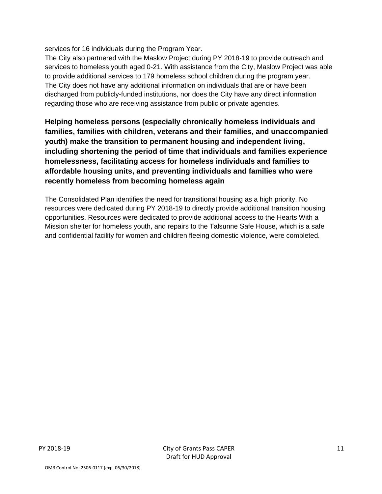services for 16 individuals during the Program Year.

The City also partnered with the Maslow Project during PY 2018-19 to provide outreach and services to homeless youth aged 0-21. With assistance from the City, Maslow Project was able to provide additional services to 179 homeless school children during the program year. The City does not have any additional information on individuals that are or have been discharged from publicly-funded institutions, nor does the City have any direct information regarding those who are receiving assistance from public or private agencies.

**Helping homeless persons (especially chronically homeless individuals and families, families with children, veterans and their families, and unaccompanied youth) make the transition to permanent housing and independent living, including shortening the period of time that individuals and families experience homelessness, facilitating access for homeless individuals and families to affordable housing units, and preventing individuals and families who were recently homeless from becoming homeless again**

The Consolidated Plan identifies the need for transitional housing as a high priority. No resources were dedicated during PY 2018-19 to directly provide additional transition housing opportunities. Resources were dedicated to provide additional access to the Hearts With a Mission shelter for homeless youth, and repairs to the Talsunne Safe House, which is a safe and confidential facility for women and children fleeing domestic violence, were completed.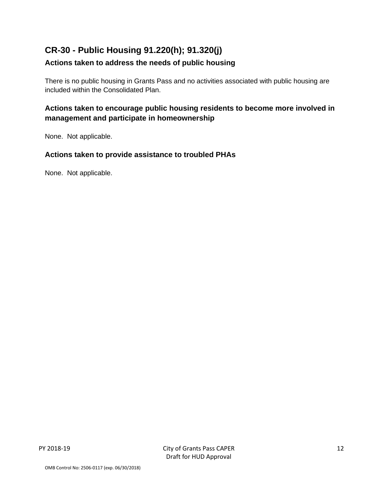# **CR-30 - Public Housing 91.220(h); 91.320(j)**

## **Actions taken to address the needs of public housing**

There is no public housing in Grants Pass and no activities associated with public housing are included within the Consolidated Plan.

# **Actions taken to encourage public housing residents to become more involved in management and participate in homeownership**

None. Not applicable.

### **Actions taken to provide assistance to troubled PHAs**

None. Not applicable.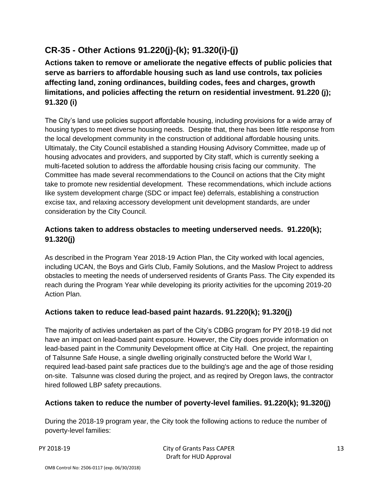# **CR-35 - Other Actions 91.220(j)-(k); 91.320(i)-(j)**

**Actions taken to remove or ameliorate the negative effects of public policies that serve as barriers to affordable housing such as land use controls, tax policies affecting land, zoning ordinances, building codes, fees and charges, growth limitations, and policies affecting the return on residential investment. 91.220 (j); 91.320 (i)**

The City's land use policies support affordable housing, including provisions for a wide array of housing types to meet diverse housing needs. Despite that, there has been little response from the local development community in the construction of additional affordable housing units. Ultimataly, the City Council established a standing Housing Advisory Committee, made up of housing advocates and providers, and supported by City staff, which is currently seeking a multi-faceted solution to address the affordable housing crisis facing our community. The Committee has made several recommendations to the Council on actions that the City might take to promote new residential development. These recommendations, which include actions like system development charge (SDC or impact fee) deferrals, establishing a construction excise tax, and relaxing accessory development unit development standards, are under consideration by the City Council.

# **Actions taken to address obstacles to meeting underserved needs. 91.220(k); 91.320(j)**

As described in the Program Year 2018-19 Action Plan, the City worked with local agencies, including UCAN, the Boys and Girls Club, Family Solutions, and the Maslow Project to address obstacles to meeting the needs of underserved residents of Grants Pass. The City expended its reach during the Program Year while developing its priority activities for the upcoming 2019-20 Action Plan.

# **Actions taken to reduce lead-based paint hazards. 91.220(k); 91.320(j)**

The majority of activies undertaken as part of the City's CDBG program for PY 2018-19 did not have an impact on lead-based paint exposure. However, the City does provide information on lead-based paint in the Community Development office at City Hall. One project, the repainting of Talsunne Safe House, a single dwelling originally constructed before the World War I, required lead-based paint safe practices due to the building's age and the age of those residing on-site. Talsunne was closed during the project, and as reqired by Oregon laws, the contractor hired followed LBP safety precautions.

## **Actions taken to reduce the number of poverty-level families. 91.220(k); 91.320(j)**

During the 2018-19 program year, the City took the following actions to reduce the number of poverty-level families:

PY 2018-19 City of Grants Pass CAPER Draft for HUD Approval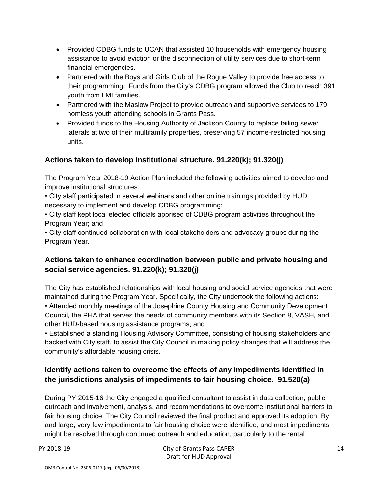- Provided CDBG funds to UCAN that assisted 10 households with emergency housing assistance to avoid eviction or the disconnection of utility services due to short-term financial emergencies.
- Partnered with the Boys and Girls Club of the Roque Valley to provide free access to their programming. Funds from the City's CDBG program allowed the Club to reach 391 youth from LMI families.
- Partnered with the Maslow Project to provide outreach and supportive services to 179 homless youth attending schools in Grants Pass.
- Provided funds to the Housing Authority of Jackson County to replace failing sewer laterals at two of their multifamily properties, preserving 57 income-restricted housing units.

# **Actions taken to develop institutional structure. 91.220(k); 91.320(j)**

The Program Year 2018-19 Action Plan included the following activities aimed to develop and improve institutional structures:

• City staff participated in several webinars and other online trainings provided by HUD necessary to implement and develop CDBG programming;

• City staff kept local elected officials apprised of CDBG program activities throughout the Program Year; and

• City staff continued collaboration with local stakeholders and advocacy groups during the Program Year.

# **Actions taken to enhance coordination between public and private housing and social service agencies. 91.220(k); 91.320(j)**

The City has established relationships with local housing and social service agencies that were maintained during the Program Year. Specifically, the City undertook the following actions: • Attended monthly meetings of the Josephine County Housing and Community Development Council, the PHA that serves the needs of community members with its Section 8, VASH, and other HUD-based housing assistance programs; and

• Established a standing Housing Advisory Committee, consisting of housing stakeholders and backed with City staff, to assist the City Council in making policy changes that will address the community's affordable housing crisis.

# **Identify actions taken to overcome the effects of any impediments identified in the jurisdictions analysis of impediments to fair housing choice. 91.520(a)**

During PY 2015-16 the City engaged a qualified consultant to assist in data collection, public outreach and involvement, analysis, and recommendations to overcome institutional barriers to fair housing choice. The City Council reviewed the final product and approved its adoption. By and large, very few impediments to fair housing choice were identified, and most impediments might be resolved through continued outreach and education, particularly to the rental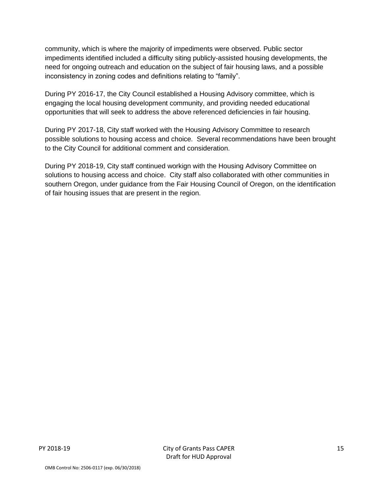community, which is where the majority of impediments were observed. Public sector impediments identified included a difficulty siting publicly-assisted housing developments, the need for ongoing outreach and education on the subject of fair housing laws, and a possible inconsistency in zoning codes and definitions relating to "family".

During PY 2016-17, the City Council established a Housing Advisory committee, which is engaging the local housing development community, and providing needed educational opportunities that will seek to address the above referenced deficiencies in fair housing.

During PY 2017-18, City staff worked with the Housing Advisory Committee to research possible solutions to housing access and choice. Several recommendations have been brought to the City Council for additional comment and consideration.

During PY 2018-19, City staff continued workign with the Housing Advisory Committee on solutions to housing access and choice. City staff also collaborated with other communities in southern Oregon, under guidance from the Fair Housing Council of Oregon, on the identification of fair housing issues that are present in the region.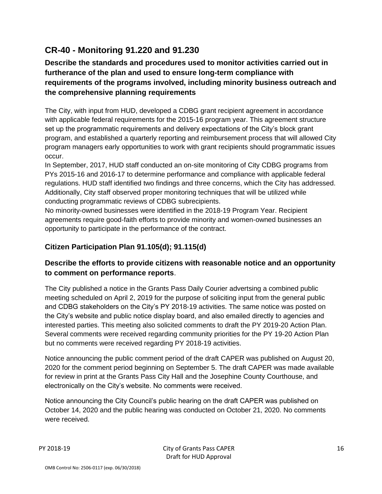# **CR-40 - Monitoring 91.220 and 91.230**

# **Describe the standards and procedures used to monitor activities carried out in furtherance of the plan and used to ensure long-term compliance with requirements of the programs involved, including minority business outreach and the comprehensive planning requirements**

The City, with input from HUD, developed a CDBG grant recipient agreement in accordance with applicable federal requirements for the 2015-16 program year. This agreement structure set up the programmatic requirements and delivery expectations of the City's block grant program, and established a quarterly reporting and reimbursement process that will allowed City program managers early opportunities to work with grant recipients should programmatic issues occur.

In September, 2017, HUD staff conducted an on-site monitoring of City CDBG programs from PYs 2015-16 and 2016-17 to determine performance and compliance with applicable federal regulations. HUD staff identified two findings and three concerns, which the City has addressed. Additionally, City staff observed proper monitoring techniques that will be utilized while conducting programmatic reviews of CDBG subrecipients.

No minority-owned businesses were identified in the 2018-19 Program Year. Recipient agreements require good-faith efforts to provide minority and women-owned businesses an opportunity to participate in the performance of the contract.

# **Citizen Participation Plan 91.105(d); 91.115(d)**

# **Describe the efforts to provide citizens with reasonable notice and an opportunity to comment on performance reports**.

The City published a notice in the Grants Pass Daily Courier advertsing a combined public meeting scheduled on April 2, 2019 for the purpose of soliciting input from the general public and CDBG stakeholders on the City's PY 2018-19 activities. The same notice was posted on the City's website and public notice display board, and also emailed directly to agencies and interested parties. This meeting also solicited comments to draft the PY 2019-20 Action Plan. Several comments were received regarding community priorities for the PY 19-20 Action Plan but no comments were received regarding PY 2018-19 activities.

Notice announcing the public comment period of the draft CAPER was published on August 20, 2020 for the comment period beginning on September 5. The draft CAPER was made available for review in print at the Grants Pass City Hall and the Josephine County Courthouse, and electronically on the City's website. No comments were received.

Notice announcing the City Council's public hearing on the draft CAPER was published on October 14, 2020 and the public hearing was conducted on October 21, 2020. No comments were received.